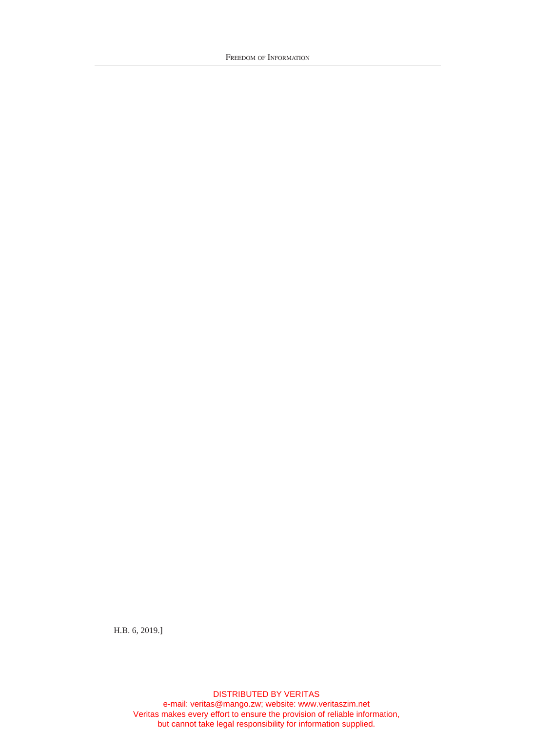FREEDOM OF INFORMATION

H.B. 6, 2019.]

DISTRIBUTED BY VERITAS e-mail: veritas@mango.zw; website: www.veritaszim.net Veritas makes every effort to ensure the provision of reliable information, but cannot take legal responsibility for information supplied.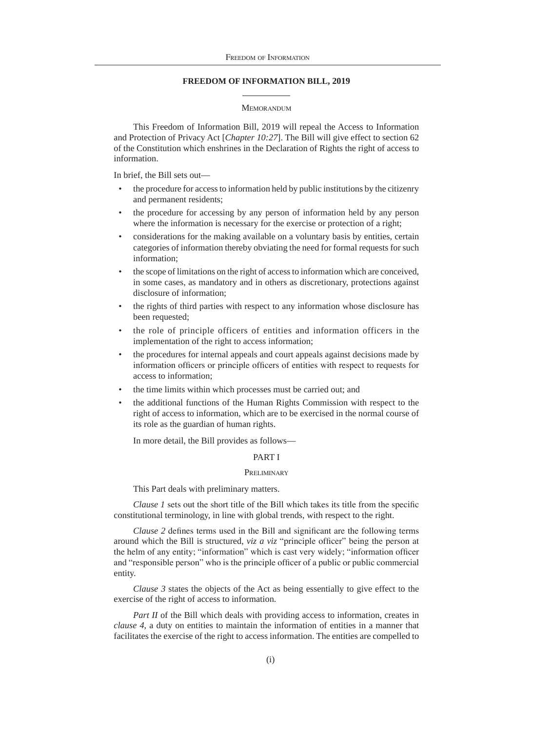# **FREEDOM OF INFORMATION BILL, 2019**

#### **MEMORANDUM**

This Freedom of Information Bill, 2019 will repeal the Access to Information and Protection of Privacy Act [*Chapter 10:27*]. The Bill will give effect to section 62 of the Constitution which enshrines in the Declaration of Rights the right of access to information.

In brief, the Bill sets out—

- the procedure for access to information held by public institutions by the citizenry and permanent residents;
- the procedure for accessing by any person of information held by any person where the information is necessary for the exercise or protection of a right;
- considerations for the making available on a voluntary basis by entities, certain categories of information thereby obviating the need for formal requests for such information;
- the scope of limitations on the right of access to information which are conceived, in some cases, as mandatory and in others as discretionary, protections against disclosure of information;
- the rights of third parties with respect to any information whose disclosure has been requested;
- the role of principle officers of entities and information officers in the implementation of the right to access information;
- the procedures for internal appeals and court appeals against decisions made by information officers or principle officers of entities with respect to requests for access to information;
- the time limits within which processes must be carried out; and
- the additional functions of the Human Rights Commission with respect to the right of access to information, which are to be exercised in the normal course of its role as the guardian of human rights.

In more detail, the Bill provides as follows—

# PART I

#### **PRELIMINARY**

This Part deals with preliminary matters.

*Clause 1* sets out the short title of the Bill which takes its title from the specific constitutional terminology, in line with global trends, with respect to the right.

*Clause 2* defines terms used in the Bill and significant are the following terms around which the Bill is structured, *viz a viz* "principle officer" being the person at the helm of any entity; "information" which is cast very widely; "information officer and "responsible person" who is the principle officer of a public or public commercial entity.

*Clause 3* states the objects of the Act as being essentially to give effect to the exercise of the right of access to information.

*Part II* of the Bill which deals with providing access to information, creates in *clause 4*, a duty on entities to maintain the information of entities in a manner that facilitates the exercise of the right to access information. The entities are compelled to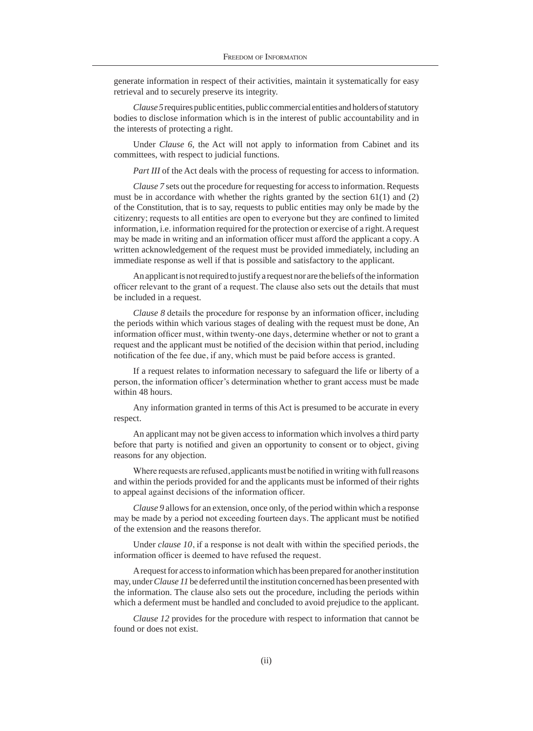generate information in respect of their activities, maintain it systematically for easy retrieval and to securely preserve its integrity.

*Clause 5* requires public entities, public commercial entities and holders of statutory bodies to disclose information which is in the interest of public accountability and in the interests of protecting a right.

Under *Clause 6*, the Act will not apply to information from Cabinet and its committees, with respect to judicial functions.

*Part III* of the Act deals with the process of requesting for access to information.

*Clause 7* sets out the procedure for requesting for access to information. Requests must be in accordance with whether the rights granted by the section  $61(1)$  and  $(2)$ of the Constitution, that is to say, requests to public entities may only be made by the citizenry; requests to all entities are open to everyone but they are confined to limited information, i.e. information required for the protection or exercise of a right. A request may be made in writing and an information officer must afford the applicant a copy. A written acknowledgement of the request must be provided immediately, including an immediate response as well if that is possible and satisfactory to the applicant.

An applicant is not required to justify a request nor are the beliefs of the information officer relevant to the grant of a request. The clause also sets out the details that must be included in a request.

*Clause 8* details the procedure for response by an information officer, including the periods within which various stages of dealing with the request must be done, An information officer must, within twenty-one days, determine whether or not to grant a request and the applicant must be notified of the decision within that period, including notification of the fee due, if any, which must be paid before access is granted.

If a request relates to information necessary to safeguard the life or liberty of a person, the information officer's determination whether to grant access must be made within 48 hours.

Any information granted in terms of this Act is presumed to be accurate in every respect.

An applicant may not be given access to information which involves a third party before that party is notified and given an opportunity to consent or to object, giving reasons for any objection.

Where requests are refused, applicants must be notified in writing with full reasons and within the periods provided for and the applicants must be informed of their rights to appeal against decisions of the information officer.

*Clause 9* allows for an extension, once only, of the period within which a response may be made by a period not exceeding fourteen days. The applicant must be notified of the extension and the reasons therefor.

Under *clause 10*, if a response is not dealt with within the specified periods, the information officer is deemed to have refused the request.

A request for access to information which has been prepared for another institution may, under *Clause 11* be deferred until the institution concerned has been presented with the information. The clause also sets out the procedure, including the periods within which a deferment must be handled and concluded to avoid prejudice to the applicant.

*Clause 12* provides for the procedure with respect to information that cannot be found or does not exist.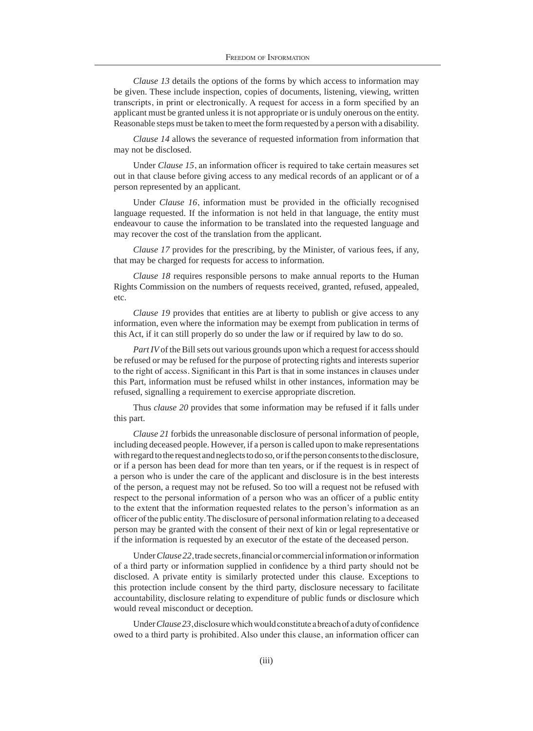*Clause 13* details the options of the forms by which access to information may be given. These include inspection, copies of documents, listening, viewing, written transcripts, in print or electronically. A request for access in a form specified by an applicant must be granted unless it is not appropriate or is unduly onerous on the entity. Reasonable steps must be taken to meet the form requested by a person with a disability.

*Clause 14* allows the severance of requested information from information that may not be disclosed.

Under *Clause 15*, an information officer is required to take certain measures set out in that clause before giving access to any medical records of an applicant or of a person represented by an applicant.

Under *Clause 16*, information must be provided in the officially recognised language requested. If the information is not held in that language, the entity must endeavour to cause the information to be translated into the requested language and may recover the cost of the translation from the applicant.

*Clause 17* provides for the prescribing, by the Minister, of various fees, if any, that may be charged for requests for access to information.

*Clause 18* requires responsible persons to make annual reports to the Human Rights Commission on the numbers of requests received, granted, refused, appealed, etc.

*Clause 19* provides that entities are at liberty to publish or give access to any information, even where the information may be exempt from publication in terms of this Act, if it can still properly do so under the law or if required by law to do so.

*Part IV* of the Bill sets out various grounds upon which a request for access should be refused or may be refused for the purpose of protecting rights and interests superior to the right of access. Significant in this Part is that in some instances in clauses under this Part, information must be refused whilst in other instances, information may be refused, signalling a requirement to exercise appropriate discretion.

Thus *clause 20* provides that some information may be refused if it falls under this part.

*Clause 21* forbids the unreasonable disclosure of personal information of people, including deceased people. However, if a person is called upon to make representations with regard to the request and neglects to do so, or if the person consents to the disclosure, or if a person has been dead for more than ten years, or if the request is in respect of a person who is under the care of the applicant and disclosure is in the best interests of the person, a request may not be refused. So too will a request not be refused with respect to the personal information of a person who was an officer of a public entity to the extent that the information requested relates to the person's information as an officer of the public entity. The disclosure of personal information relating to a deceased person may be granted with the consent of their next of kin or legal representative or if the information is requested by an executor of the estate of the deceased person.

Under *Clause 22*, trade secrets, financial or commercial information or information of a third party or information supplied in confidence by a third party should not be disclosed. A private entity is similarly protected under this clause. Exceptions to this protection include consent by the third party, disclosure necessary to facilitate accountability, disclosure relating to expenditure of public funds or disclosure which would reveal misconduct or deception.

Under *Clause 23*, disclosure which would constitute a breach of a duty of confidence owed to a third party is prohibited. Also under this clause, an information officer can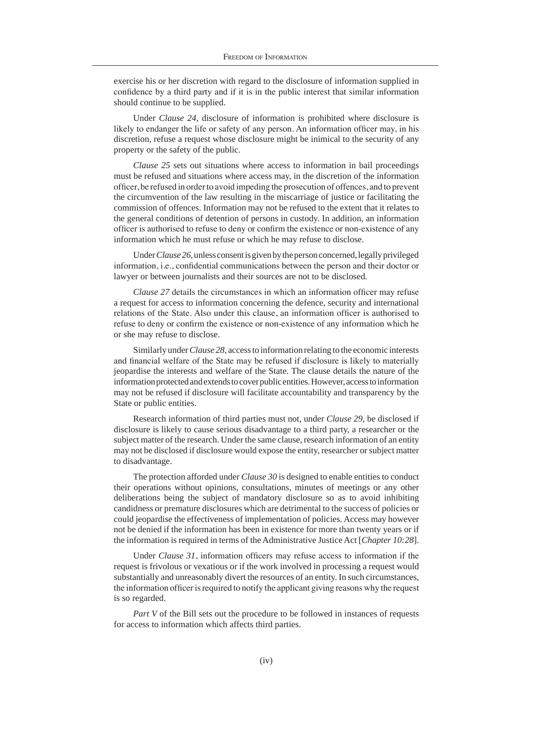exercise his or her discretion with regard to the disclosure of information supplied in confidence by a third party and if it is in the public interest that similar information should continue to be supplied.

Under *Clause 24*, disclosure of information is prohibited where disclosure is likely to endanger the life or safety of any person. An information officer may, in his discretion, refuse a request whose disclosure might be inimical to the security of any property or the safety of the public.

*Clause 25* sets out situations where access to information in bail proceedings must be refused and situations where access may, in the discretion of the information officer, be refused in order to avoid impeding the prosecution of offences, and to prevent the circumvention of the law resulting in the miscarriage of justice or facilitating the commission of offences. Information may not be refused to the extent that it relates to the general conditions of detention of persons in custody. In addition, an information officer is authorised to refuse to deny or confirm the existence or non-existence of any information which he must refuse or which he may refuse to disclose.

Under *Clause 26*, unless consent is given by the person concerned, legally privileged information, i.e., confidential communications between the person and their doctor or lawyer or between journalists and their sources are not to be disclosed.

*Clause 27* details the circumstances in which an information officer may refuse a request for access to information concerning the defence, security and international relations of the State. Also under this clause, an information officer is authorised to refuse to deny or confirm the existence or non-existence of any information which he or she may refuse to disclose.

Similarly under *Clause 28*, access to information relating to the economic interests and financial welfare of the State may be refused if disclosure is likely to materially jeopardise the interests and welfare of the State. The clause details the nature of the information protected and extends to cover public entities. However, access to information may not be refused if disclosure will facilitate accountability and transparency by the State or public entities.

Research information of third parties must not, under *Clause 29*, be disclosed if disclosure is likely to cause serious disadvantage to a third party, a researcher or the subject matter of the research. Under the same clause, research information of an entity may not be disclosed if disclosure would expose the entity, researcher or subject matter to disadvantage.

The protection afforded under *Clause 30* is designed to enable entities to conduct their operations without opinions, consultations, minutes of meetings or any other deliberations being the subject of mandatory disclosure so as to avoid inhibiting candidness or premature disclosures which are detrimental to the success of policies or could jeopardise the effectiveness of implementation of policies. Access may however not be denied if the information has been in existence for more than twenty years or if the information is required in terms of the Administrative Justice Act [*Chapter 10:28*].

Under *Clause 31*, information officers may refuse access to information if the request is frivolous or vexatious or if the work involved in processing a request would substantially and unreasonably divert the resources of an entity. In such circumstances, the information officer is required to notify the applicant giving reasons why the request is so regarded.

*Part V* of the Bill sets out the procedure to be followed in instances of requests for access to information which affects third parties.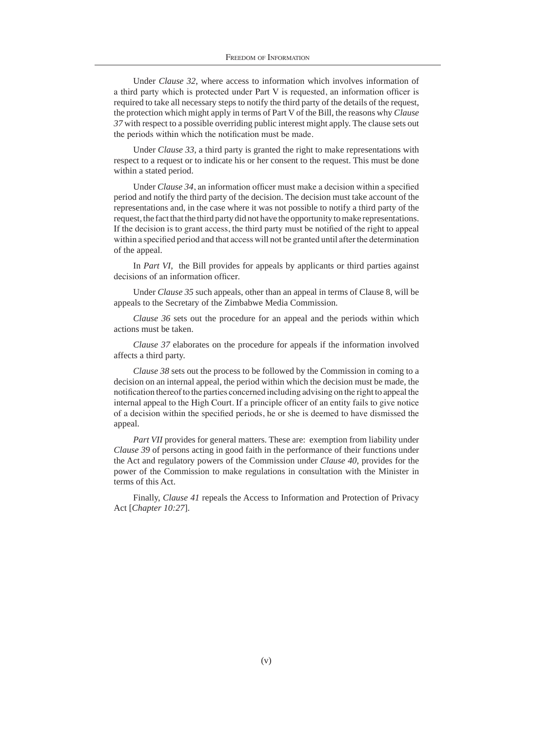Under *Clause 32*, where access to information which involves information of a third party which is protected under Part V is requested, an information officer is required to take all necessary steps to notify the third party of the details of the request, the protection which might apply in terms of Part V of the Bill, the reasons why *Clause 37* with respect to a possible overriding public interest might apply. The clause sets out the periods within which the notification must be made.

Under *Clause 33*, a third party is granted the right to make representations with respect to a request or to indicate his or her consent to the request. This must be done within a stated period.

Under *Clause 34*, an information officer must make a decision within a specified period and notify the third party of the decision. The decision must take account of the representations and, in the case where it was not possible to notify a third party of the request, the fact that the third party did not have the opportunity to make representations. If the decision is to grant access, the third party must be notified of the right to appeal within a specified period and that access will not be granted until after the determination of the appeal.

In *Part VI*, the Bill provides for appeals by applicants or third parties against decisions of an information officer.

Under *Clause 35* such appeals, other than an appeal in terms of Clause 8, will be appeals to the Secretary of the Zimbabwe Media Commission.

*Clause 36* sets out the procedure for an appeal and the periods within which actions must be taken.

*Clause 37* elaborates on the procedure for appeals if the information involved affects a third party.

*Clause 38* sets out the process to be followed by the Commission in coming to a decision on an internal appeal, the period within which the decision must be made, the notification thereof to the parties concerned including advising on the right to appeal the internal appeal to the High Court. If a principle officer of an entity fails to give notice of a decision within the specified periods, he or she is deemed to have dismissed the appeal.

*Part VII* provides for general matters. These are: exemption from liability under *Clause 39* of persons acting in good faith in the performance of their functions under the Act and regulatory powers of the Commission under *Clause 40*, provides for the power of the Commission to make regulations in consultation with the Minister in terms of this Act.

Finally, *Clause 41* repeals the Access to Information and Protection of Privacy Act [*Chapter 10:27*].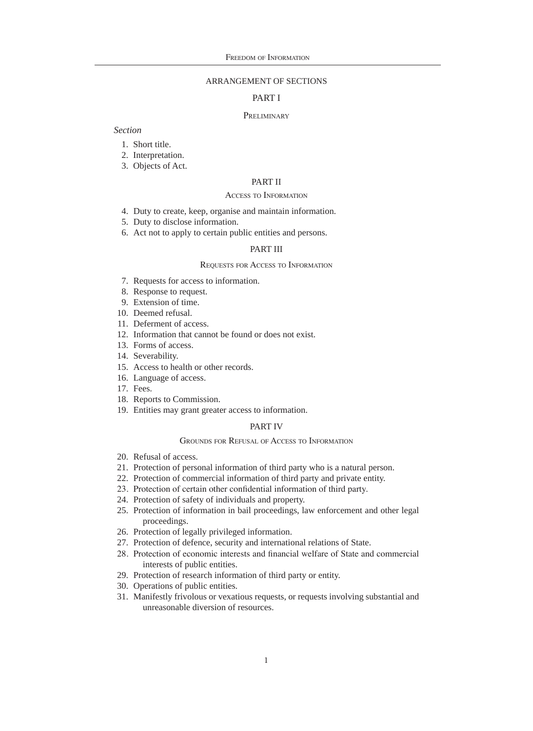# ARRANGEMENT OF SECTIONS

# PART I

#### **PRELIMINARY**

# *Section*

- 1. Short title.
- 2. Interpretation.
- 3. Objects of Act.

#### PART II

#### Access to Information

- 4. Duty to create, keep, organise and maintain information.
- 5. Duty to disclose information.
- 6. Act not to apply to certain public entities and persons.

## PART III

#### Requests for Access to Information

- 7. Requests for access to information.
- 8. Response to request.
- 9. Extension of time.
- 10. Deemed refusal.
- 11. Deferment of access.
- 12. Information that cannot be found or does not exist.
- 13. Forms of access.
- 14. Severability.
- 15. Access to health or other records.
- 16. Language of access.
- 17. Fees.
- 18. Reports to Commission.
- 19. Entities may grant greater access to information.

# PART IV

#### Grounds for Refusal of Access to Information

- 20. Refusal of access.
- 21. Protection of personal information of third party who is a natural person.
- 22. Protection of commercial information of third party and private entity.
- 23. Protection of certain other confidential information of third party.
- 24. Protection of safety of individuals and property.
- 25. Protection of information in bail proceedings, law enforcement and other legal proceedings.
- 26. Protection of legally privileged information.
- 27. Protection of defence, security and international relations of State.
- 28. Protection of economic interests and financial welfare of State and commercial interests of public entities.
- 29. Protection of research information of third party or entity.
- 30. Operations of public entities.
- 31. Manifestly frivolous or vexatious requests, or requests involving substantial and unreasonable diversion of resources.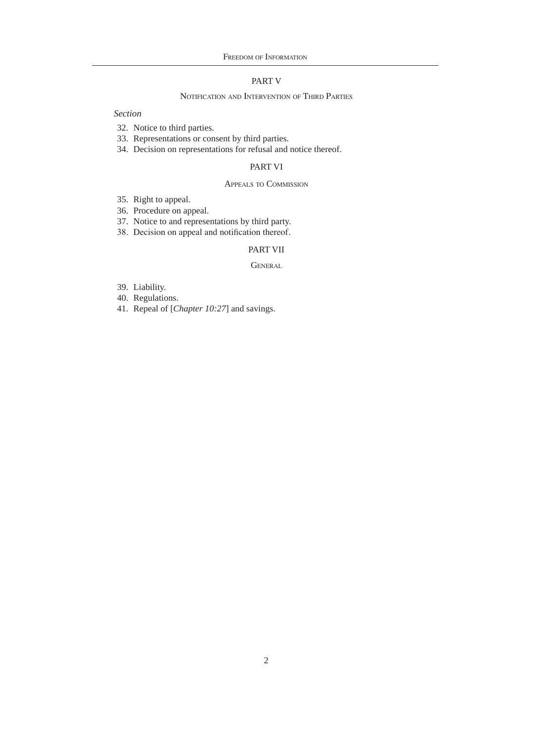# PART V

# Notification and Intervention of Third Parties

*Section*

- 32. Notice to third parties.
- 33. Representations or consent by third parties.
- 34. Decision on representations for refusal and notice thereof.

# PART VI

# Appeals to Commission

- 35. Right to appeal.
- 36. Procedure on appeal.
- 37. Notice to and representations by third party.
- 38. Decision on appeal and notification thereof.

# PART VII

#### **GENERAL**

- 39. Liability.
- 40. Regulations.
- 41. Repeal of [*Chapter 10:27*] and savings.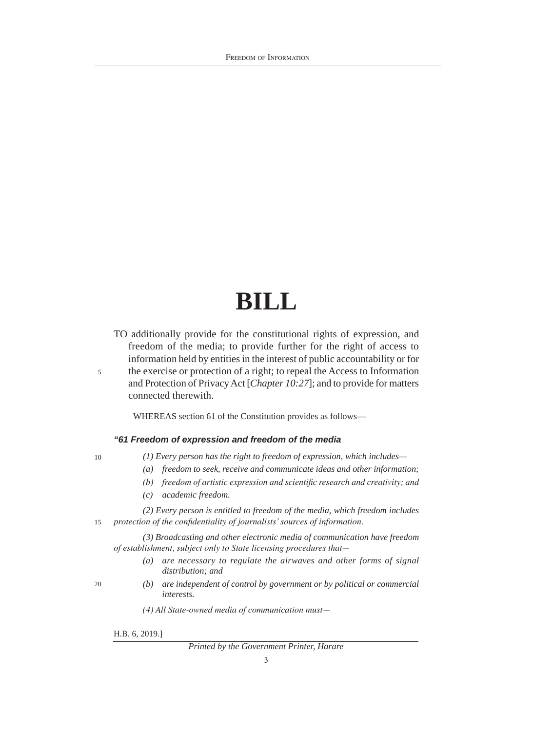# **BILL**

- TO additionally provide for the constitutional rights of expression, and freedom of the media; to provide further for the right of access to information held by entities in the interest of public accountability or for
- the exercise or protection of a right; to repeal the Access to Information and Protection of Privacy Act [*Chapter 10:27*]; and to provide for matters connected therewith.

WHEREAS section 61 of the Constitution provides as follows—

# *"61 Freedom of expression and freedom of the media*

10

5

*(1) Every person has the right to freedom of expression, which includes—* 

- *(a) freedom to seek, receive and communicate ideas and other information;*
- *(b) freedom of artistic expression and scientific research and creativity; and*
- *(c) academic freedom.*
- 15 *(2) Every person is entitled to freedom of the media, which freedom includes protection of the confidentiality of journalists'sources of information.*

*(3) Broadcasting and other electronic media of communication have freedom of establishment, subject only to State licensing procedures that—*

- *(a) are necessary to regulate the airwaves and other forms of signal distribution; and*
- 20
- *(b) are independent of control by government or by political or commercial interests.*
- *(4) All State-owned media of communication must—*

H.B. 6, 2019.]

# *Printed by the Government Printer, Harare*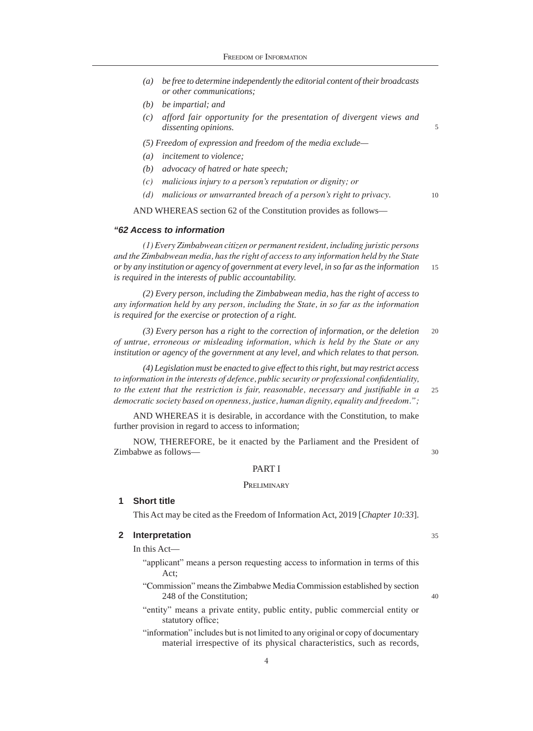- *(a) be free to determine independently the editorial content of their broadcasts or other communications;*
- *(b) be impartial; and*
- *(c) afford fair opportunity for the presentation of divergent views and dissenting opinions.*
- *(5) Freedom of expression and freedom of the media exclude—*
- *(a) incitement to violence;*
- *(b) advocacy of hatred or hate speech;*
- *(c) malicious injury to a person's reputation or dignity; or*
- *(d) malicious or unwarranted breach of a person's right to privacy.*

AND WHEREAS section 62 of the Constitution provides as follows—

#### *"62 Access to information*

15 *(1) Every Zimbabwean citizen or permanentresident, including juristic persons and the Zimbabwean media, hasthe right of accessto any information held by the State or by any institution or agency of government at every level, in so far as the information is required in the interests of public accountability.*

*(2) Every person, including the Zimbabwean media, has the right of access to any information held by any person, including the State, in so far as the information is required for the exercise or protection of a right.*

20 *(3) Every person has a right to the correction of information, or the deletion of untrue, erroneous or misleading information, which is held by the State or any institution or agency of the government at any level, and which relates to that person.*

 $25$ *(4) Legislation must be enacted to give effect to this right, but may restrict access to information in the interests of defence, public security or professional confidentiality, to the extent that the restriction is fair, reasonable, necessary and justifiable in a democratic society based on openness, justice, human dignity, equality and freedom.";*

AND WHEREAS it is desirable, in accordance with the Constitution, to make further provision in regard to access to information;

NOW, THEREFORE, be it enacted by the Parliament and the President of Zimbabwe as follows—

#### PART I

#### **PRELIMINARY**

#### **1 Short title**

This Act may be cited as the Freedom of Information Act, 2019 [*Chapter 10:33*].

# **2 Interpretation**

In this Act—

- "applicant" means a person requesting access to information in terms of this Act;
- "Commission" means the Zimbabwe Media Commission established by section 248 of the Constitution;
- "entity" means a private entity, public entity, public commercial entity or statutory office;
- "information" includes but is not limited to any original or copy of documentary material irrespective of its physical characteristics, such as records,

35

40

30

5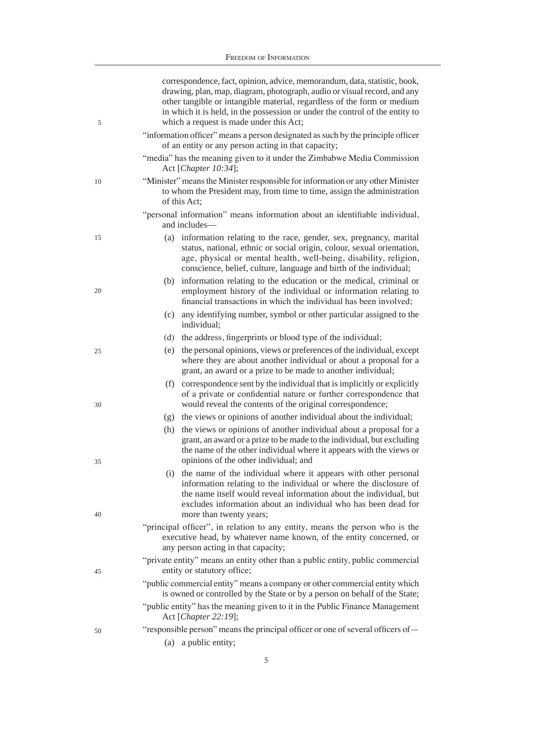| 5  | correspondence, fact, opinion, advice, memorandum, data, statistic, book,<br>drawing, plan, map, diagram, photograph, audio or visual record, and any<br>other tangible or intangible material, regardless of the form or medium<br>in which it is held, in the possession or under the control of the entity to<br>which a request is made under this Act; |  |  |  |  |
|----|-------------------------------------------------------------------------------------------------------------------------------------------------------------------------------------------------------------------------------------------------------------------------------------------------------------------------------------------------------------|--|--|--|--|
|    | "information officer" means a person designated as such by the principle officer<br>of an entity or any person acting in that capacity;                                                                                                                                                                                                                     |  |  |  |  |
|    | "media" has the meaning given to it under the Zimbabwe Media Commission<br>Act [Chapter 10:34];                                                                                                                                                                                                                                                             |  |  |  |  |
| 10 | "Minister" means the Minister responsible for information or any other Minister<br>to whom the President may, from time to time, assign the administration<br>of this Act;                                                                                                                                                                                  |  |  |  |  |
|    | "personal information" means information about an identifiable individual,<br>and includes—                                                                                                                                                                                                                                                                 |  |  |  |  |
| 15 | (a) information relating to the race, gender, sex, pregnancy, marital                                                                                                                                                                                                                                                                                       |  |  |  |  |
|    | status, national, ethnic or social origin, colour, sexual orientation,<br>age, physical or mental health, well-being, disability, religion,<br>conscience, belief, culture, language and birth of the individual;                                                                                                                                           |  |  |  |  |
| 20 | information relating to the education or the medical, criminal or<br>(b)<br>employment history of the individual or information relating to<br>financial transactions in which the individual has been involved;                                                                                                                                            |  |  |  |  |
|    | any identifying number, symbol or other particular assigned to the<br>(c)<br>individual;                                                                                                                                                                                                                                                                    |  |  |  |  |
|    | the address, fingerprints or blood type of the individual;<br>(d)                                                                                                                                                                                                                                                                                           |  |  |  |  |
| 25 | the personal opinions, views or preferences of the individual, except<br>(e)<br>where they are about another individual or about a proposal for a<br>grant, an award or a prize to be made to another individual;                                                                                                                                           |  |  |  |  |
| 30 | correspondence sent by the individual that is implicitly or explicitly<br>(f)<br>of a private or confidential nature or further correspondence that<br>would reveal the contents of the original correspondence;                                                                                                                                            |  |  |  |  |
|    | the views or opinions of another individual about the individual;<br>(g)                                                                                                                                                                                                                                                                                    |  |  |  |  |
| 35 | the views or opinions of another individual about a proposal for a<br>(h)<br>grant, an award or a prize to be made to the individual, but excluding<br>the name of the other individual where it appears with the views or<br>opinions of the other individual; and                                                                                         |  |  |  |  |
| 40 | (i) the name of the individual where it appears with other personal<br>information relating to the individual or where the disclosure of<br>the name itself would reveal information about the individual, but<br>excludes information about an individual who has been dead for<br>more than twenty years;                                                 |  |  |  |  |
|    | "principal officer", in relation to any entity, means the person who is the                                                                                                                                                                                                                                                                                 |  |  |  |  |
|    | executive head, by whatever name known, of the entity concerned, or<br>any person acting in that capacity;                                                                                                                                                                                                                                                  |  |  |  |  |
| 45 | "private entity" means an entity other than a public entity, public commercial<br>entity or statutory office;                                                                                                                                                                                                                                               |  |  |  |  |
|    | "public commercial entity" means a company or other commercial entity which<br>is owned or controlled by the State or by a person on behalf of the State;                                                                                                                                                                                                   |  |  |  |  |
|    | "public entity" has the meaning given to it in the Public Finance Management<br>Act [Chapter 22:19];                                                                                                                                                                                                                                                        |  |  |  |  |
| 50 | "responsible person" means the principal officer or one of several officers of —                                                                                                                                                                                                                                                                            |  |  |  |  |
|    | a public entity;<br>(a)                                                                                                                                                                                                                                                                                                                                     |  |  |  |  |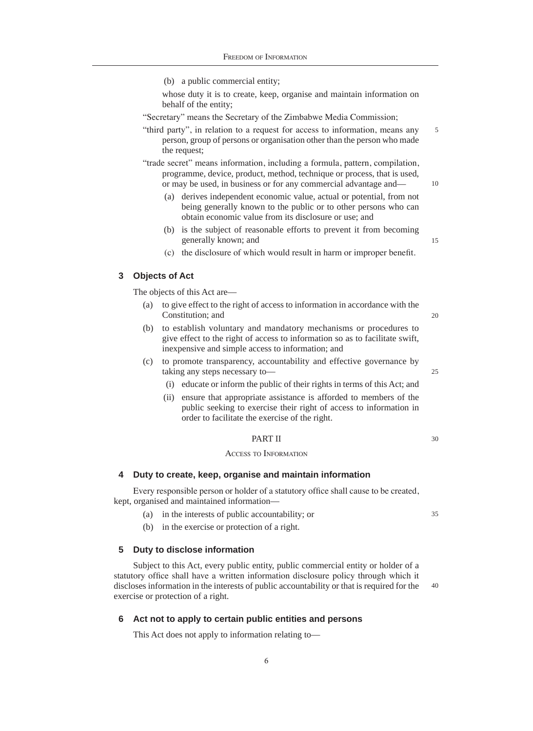(b) a public commercial entity;

whose duty it is to create, keep, organise and maintain information on behalf of the entity;

"Secretary" means the Secretary of the Zimbabwe Media Commission;

5 "third party", in relation to a request for access to information, means any person, group of persons or organisation other than the person who made the request;

"trade secret" means information, including a formula, pattern, compilation, programme, device, product, method, technique or process, that is used, or may be used, in business or for any commercial advantage and—

- (a) derives independent economic value, actual or potential, from not being generally known to the public or to other persons who can obtain economic value from its disclosure or use; and
- (b) is the subject of reasonable efforts to prevent it from becoming generally known; and

15

20

 $25$ 

10

(c) the disclosure of which would result in harm or improper benefit.

# **3 Objects of Act**

The objects of this Act are—

- (a) to give effect to the right of access to information in accordance with the Constitution; and
- (b) to establish voluntary and mandatory mechanisms or procedures to give effect to the right of access to information so as to facilitate swift, inexpensive and simple access to information; and
- (c) to promote transparency, accountability and effective governance by taking any steps necessary to—
	- (i) educate or inform the public of their rights in terms of this Act; and
	- (ii) ensure that appropriate assistance is afforded to members of the public seeking to exercise their right of access to information in order to facilitate the exercise of the right.

#### PART II

#### Access to Information

#### **4 Duty to create, keep, organise and maintain information**

Every responsible person or holder of a statutory office shall cause to be created, kept, organised and maintained information—

- (a) in the interests of public accountability; or
- (b) in the exercise or protection of a right.

#### **5 Duty to disclose information**

40 Subject to this Act, every public entity, public commercial entity or holder of a statutory office shall have a written information disclosure policy through which it discloses information in the interests of public accountability or that is required for the exercise or protection of a right.

# **6 Act not to apply to certain public entities and persons**

This Act does not apply to information relating to—

30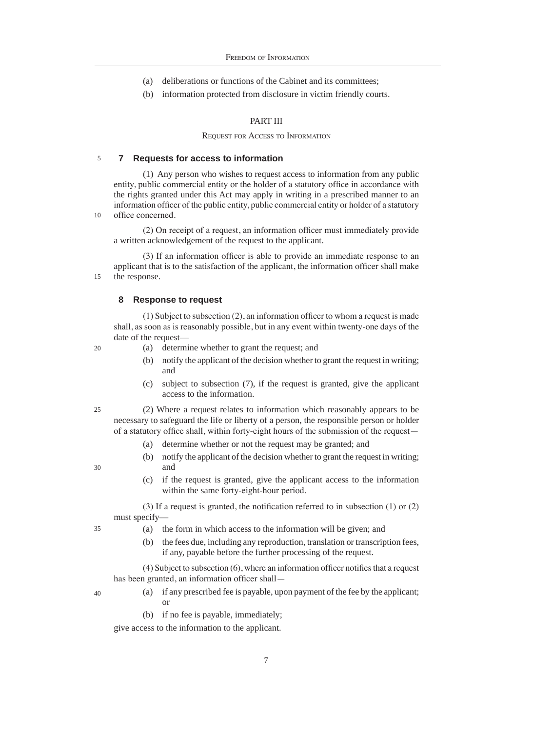- (a) deliberations or functions of the Cabinet and its committees;
- (b) information protected from disclosure in victim friendly courts.

#### PART III

#### Request for Access to Information

#### 5 **7 Requests for access to information**

(1) Any person who wishes to request access to information from any public entity, public commercial entity or the holder of a statutory office in accordance with the rights granted under this Act may apply in writing in a prescribed manner to an information officer of the public entity, public commercial entity or holder of a statutory office concerned.

(2) On receipt of a request, an information officer must immediately provide a written acknowledgement of the request to the applicant.

15 (3) If an information officer is able to provide an immediate response to an applicant that is to the satisfaction of the applicant, the information officer shall make the response.

#### **8 Response to request**

(1) Subject to subsection (2), an information officer to whom a request is made shall, as soon as is reasonably possible, but in any event within twenty-one days of the date of the request—

20

25

30

35

10

- (a) determine whether to grant the request; and
- (b) notify the applicant of the decision whether to grant the request in writing; and
- (c) subject to subsection (7), if the request is granted, give the applicant access to the information.

(2) Where a request relates to information which reasonably appears to be necessary to safeguard the life or liberty of a person, the responsible person or holder of a statutory office shall, within forty-eight hours of the submission of the request—

- (a) determine whether or not the request may be granted; and
- (b) notify the applicant of the decision whether to grant the request in writing; and
- (c) if the request is granted, give the applicant access to the information within the same forty-eight-hour period.

(3) If a request is granted, the notification referred to in subsection (1) or (2) must specify—

- (a) the form in which access to the information will be given; and
	- (b) the fees due, including any reproduction, translation or transcription fees, if any, payable before the further processing of the request.

(4) Subject to subsection (6), where an information officer notifies that a request has been granted, an information officer shall—

- 40
- (a) if any prescribed fee is payable, upon payment of the fee by the applicant; or
- (b) if no fee is payable, immediately;

give access to the information to the applicant.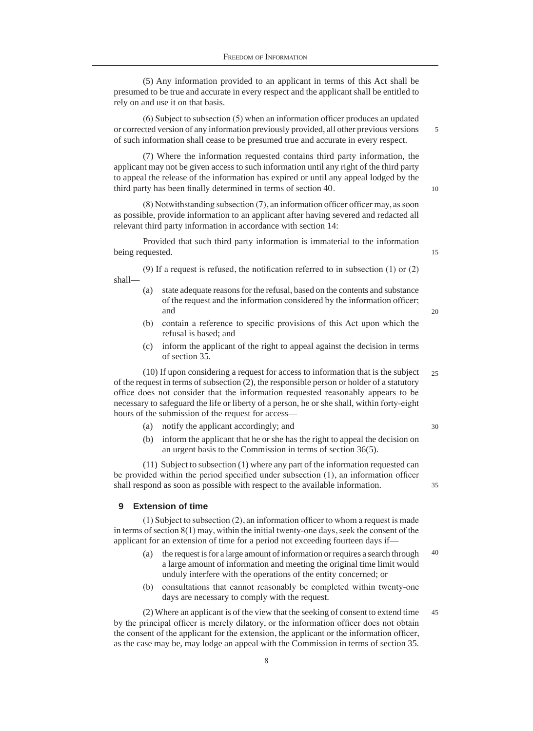(5) Any information provided to an applicant in terms of this Act shall be presumed to be true and accurate in every respect and the applicant shall be entitled to rely on and use it on that basis.

(6) Subject to subsection (5) when an information officer produces an updated or corrected version of any information previously provided, all other previous versions of such information shall cease to be presumed true and accurate in every respect.

(7) Where the information requested contains third party information, the applicant may not be given access to such information until any right of the third party to appeal the release of the information has expired or until any appeal lodged by the third party has been finally determined in terms of section 40.

(8) Notwithstanding subsection (7), an information officer officer may, as soon as possible, provide information to an applicant after having severed and redacted all relevant third party information in accordance with section 14:

Provided that such third party information is immaterial to the information being requested.

(9) If a request is refused, the notification referred to in subsection (1) or (2) shall—

- (a) state adequate reasons for the refusal, based on the contents and substance of the request and the information considered by the information officer; and
- (b) contain a reference to specific provisions of this Act upon which the refusal is based; and
- (c) inform the applicant of the right to appeal against the decision in terms of section 35.

25 (10) If upon considering a request for access to information that is the subject of the request in terms of subsection (2), the responsible person or holder of a statutory office does not consider that the information requested reasonably appears to be necessary to safeguard the life or liberty of a person, he or she shall, within forty-eight hours of the submission of the request for access—

- (a) notify the applicant accordingly; and
- (b) inform the applicant that he or she has the right to appeal the decision on an urgent basis to the Commission in terms of section 36(5).

(11) Subject to subsection (1) where any part of the information requested can be provided within the period specified under subsection (1), an information officer shall respond as soon as possible with respect to the available information.

#### **9 Extension of time**

(1) Subject to subsection (2), an information officer to whom a request is made in terms of section 8(1) may, within the initial twenty-one days, seek the consent of the applicant for an extension of time for a period not exceeding fourteen days if—

- 40 (a) the request is for a large amount of information or requires a search through a large amount of information and meeting the original time limit would unduly interfere with the operations of the entity concerned; or
- (b) consultations that cannot reasonably be completed within twenty-one days are necessary to comply with the request.

45 (2) Where an applicant is of the view that the seeking of consent to extend time by the principal officer is merely dilatory, or the information officer does not obtain the consent of the applicant for the extension, the applicant or the information officer, as the case may be, may lodge an appeal with the Commission in terms of section 35.

10

15

20

5

30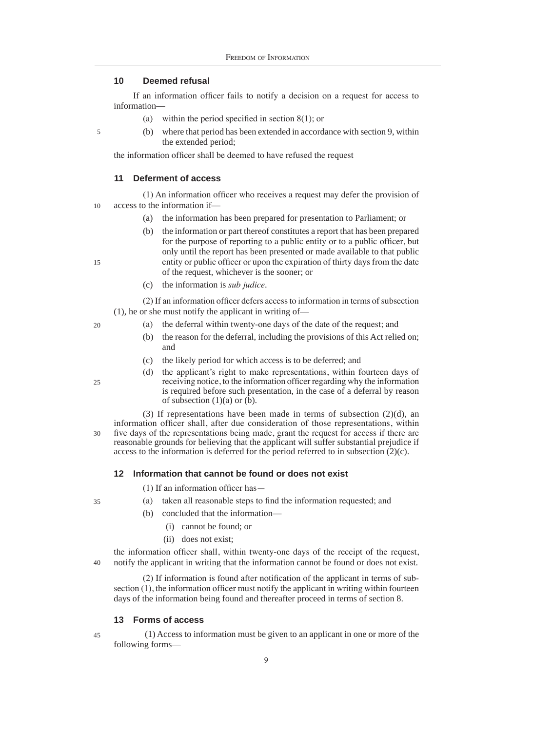# **10 Deemed refusal**

If an information officer fails to notify a decision on a request for access to information—

- (a) within the period specified in section 8(1); or
- (b) where that period has been extended in accordance with section 9, within the extended period;

the information officer shall be deemed to have refused the request

#### **11 Deferment of access**

10 (1) An information officer who receives a request may defer the provision of access to the information if—

- (a) the information has been prepared for presentation to Parliament; or
- (b) the information or part thereof constitutes a report that has been prepared for the purpose of reporting to a public entity or to a public officer, but only until the report has been presented or made available to that public entity or public officer or upon the expiration of thirty days from the date of the request, whichever is the sooner; or
- (c) the information is *sub judice*.

(2) If an information officer defers access to information in terms of subsection (1), he or she must notify the applicant in writing of—

- (a) the deferral within twenty-one days of the date of the request; and
	- (b) the reason for the deferral, including the provisions of this Act relied on; and
	- (c) the likely period for which access is to be deferred; and
- (d) the applicant's right to make representations, within fourteen days of receiving notice, to the information officer regarding why the information is required before such presentation, in the case of a deferral by reason of subsection  $(1)(a)$  or  $(b)$ .

30 (3) If representations have been made in terms of subsection (2)(d), an information officer shall, after due consideration of those representations, within five days of the representations being made, grant the request for access if there are reasonable grounds for believing that the applicant will suffer substantial prejudice if access to the information is deferred for the period referred to in subsection (2)(c).

# **12 Information that cannot be found or does not exist**

(1) If an information officer has—

- (a) taken all reasonable steps to find the information requested; and
- (b) concluded that the information—
	- (i) cannot be found; or
	- (ii) does not exist;

40 the information officer shall, within twenty-one days of the receipt of the request, notify the applicant in writing that the information cannot be found or does not exist.

(2) If information is found after notification of the applicant in terms of subsection (1), the information officer must notify the applicant in writing within fourteen days of the information being found and thereafter proceed in terms of section 8.

#### **13 Forms of access**

 (1) Access to information must be given to an applicant in one or more of the following forms—

25

35

45

20

15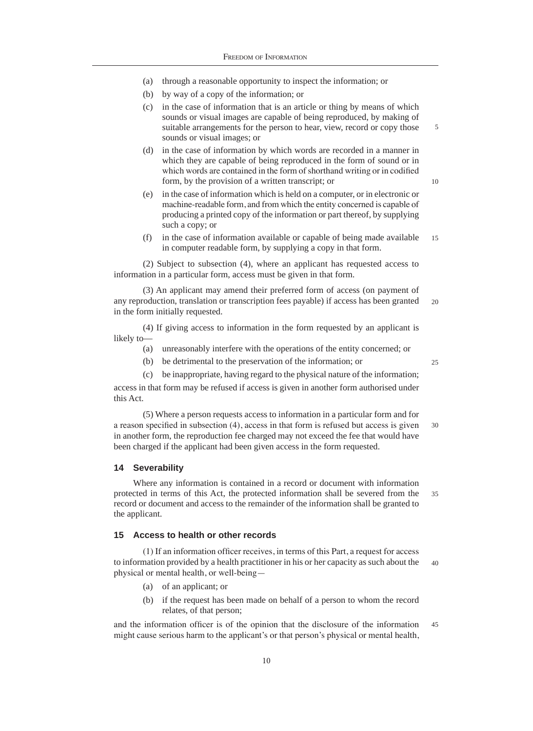- (a) through a reasonable opportunity to inspect the information; or
- (b) by way of a copy of the information; or
- (c) in the case of information that is an article or thing by means of which sounds or visual images are capable of being reproduced, by making of suitable arrangements for the person to hear, view, record or copy those sounds or visual images; or
- (d) in the case of information by which words are recorded in a manner in which they are capable of being reproduced in the form of sound or in which words are contained in the form of shorthand writing or in codified form, by the provision of a written transcript; or
- (e) in the case of information which is held on a computer, or in electronic or machine-readable form, and from which the entity concerned is capable of producing a printed copy of the information or part thereof, by supplying such a copy; or
- 15 (f) in the case of information available or capable of being made available in computer readable form, by supplying a copy in that form.

(2) Subject to subsection (4), where an applicant has requested access to information in a particular form, access must be given in that form.

 $20$ (3) An applicant may amend their preferred form of access (on payment of any reproduction, translation or transcription fees payable) if access has been granted in the form initially requested.

(4) If giving access to information in the form requested by an applicant is likely to—

- (a) unreasonably interfere with the operations of the entity concerned; or
- (b) be detrimental to the preservation of the information; or

(c) be inappropriate, having regard to the physical nature of the information;

access in that form may be refused if access is given in another form authorised under this Act.

(5) Where a person requests access to information in a particular form and for a reason specified in subsection (4), access in that form is refused but access is given in another form, the reproduction fee charged may not exceed the fee that would have been charged if the applicant had been given access in the form requested.

#### **14 Severability**

35 Where any information is contained in a record or document with information protected in terms of this Act, the protected information shall be severed from the record or document and access to the remainder of the information shall be granted to the applicant.

# **15 Access to health or other records**

40 (1) If an information officer receives, in terms of this Part, a request for access to information provided by a health practitioner in his or her capacity as such about the physical or mental health, or well-being—

- (a) of an applicant; or
- (b) if the request has been made on behalf of a person to whom the record relates, of that person;

45 and the information officer is of the opinion that the disclosure of the information might cause serious harm to the applicant's or that person's physical or mental health,

25

30

5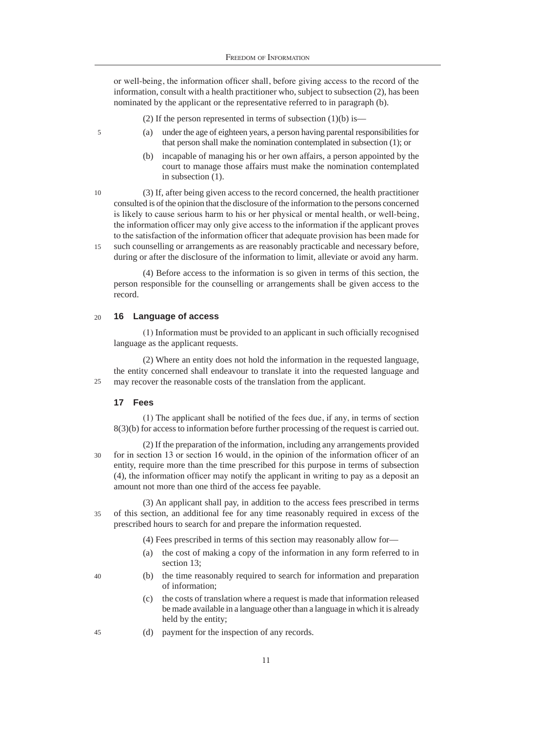or well-being, the information officer shall, before giving access to the record of the information, consult with a health practitioner who, subject to subsection (2), has been nominated by the applicant or the representative referred to in paragraph (b).

- (2) If the person represented in terms of subsection  $(1)(b)$  is—
- (a) under the age of eighteen years, a person having parental responsibilities for that person shall make the nomination contemplated in subsection (1); or
- (b) incapable of managing his or her own affairs, a person appointed by the court to manage those affairs must make the nomination contemplated in subsection (1).

10 15 (3) If, after being given access to the record concerned, the health practitioner consulted is of the opinion that the disclosure of the information to the persons concerned is likely to cause serious harm to his or her physical or mental health, or well-being, the information officer may only give access to the information if the applicant proves to the satisfaction of the information officer that adequate provision has been made for such counselling or arrangements as are reasonably practicable and necessary before,

during or after the disclosure of the information to limit, alleviate or avoid any harm.

(4) Before access to the information is so given in terms of this section, the person responsible for the counselling or arrangements shall be given access to the record.

#### 20 **16 Language of access**

(1) Information must be provided to an applicant in such officially recognised language as the applicant requests.

 $25$ (2) Where an entity does not hold the information in the requested language, the entity concerned shall endeavour to translate it into the requested language and may recover the reasonable costs of the translation from the applicant.

# **17 Fees**

40

45

5

(1) The applicant shall be notified of the fees due, if any, in terms of section 8(3)(b) for access to information before further processing of the request is carried out.

30 (2) If the preparation of the information, including any arrangements provided for in section 13 or section 16 would, in the opinion of the information officer of an entity, require more than the time prescribed for this purpose in terms of subsection (4), the information officer may notify the applicant in writing to pay as a deposit an amount not more than one third of the access fee payable.

35 (3) An applicant shall pay, in addition to the access fees prescribed in terms of this section, an additional fee for any time reasonably required in excess of the prescribed hours to search for and prepare the information requested.

- (4) Fees prescribed in terms of this section may reasonably allow for—
- (a) the cost of making a copy of the information in any form referred to in section 13;
- (b) the time reasonably required to search for information and preparation of information;
- (c) the costs of translation where a request is made that information released be made available in a language other than a language in which it is already held by the entity;
- (d) payment for the inspection of any records.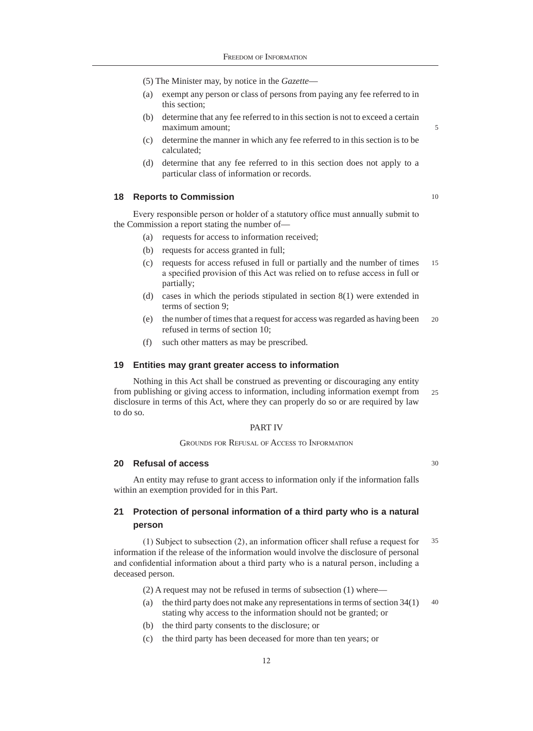- (5) The Minister may, by notice in the *Gazette*—
- (a) exempt any person or class of persons from paying any fee referred to in this section;
- (b) determine that any fee referred to in this section is not to exceed a certain maximum amount;
- (c) determine the manner in which any fee referred to in this section is to be calculated;
- (d) determine that any fee referred to in this section does not apply to a particular class of information or records.

## **18 Reports to Commission**

Every responsible person or holder of a statutory office must annually submit to the Commission a report stating the number of—

- (a) requests for access to information received;
- (b) requests for access granted in full;
- 15 (c) requests for access refused in full or partially and the number of times a specified provision of this Act was relied on to refuse access in full or partially;
- (d) cases in which the periods stipulated in section 8(1) were extended in terms of section 9;
- 20 (e) the number of times that a request for access was regarded as having been refused in terms of section 10;
- (f) such other matters as may be prescribed.

#### **19 Entities may grant greater access to information**

 $25$ Nothing in this Act shall be construed as preventing or discouraging any entity from publishing or giving access to information, including information exempt from disclosure in terms of this Act, where they can properly do so or are required by law to do so.

#### PART IV

#### Grounds for Refusal of Access to Information

#### **20 Refusal of access**

An entity may refuse to grant access to information only if the information falls within an exemption provided for in this Part.

# **21 Protection of personal information of a third party who is a natural person**

35 (1) Subject to subsection (2), an information officer shall refuse a request for information if the release of the information would involve the disclosure of personal and confidential information about a third party who is a natural person, including a deceased person.

(2) A request may not be refused in terms of subsection (1) where—

- 40 (a) the third party does not make any representations in terms of section 34(1) stating why access to the information should not be granted; or
- (b) the third party consents to the disclosure; or
- (c) the third party has been deceased for more than ten years; or

10

30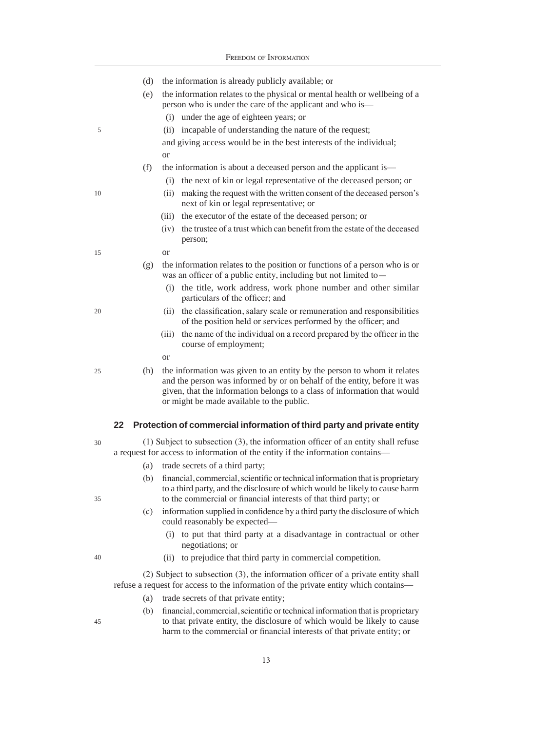|    |     | FREEDOM OF INFORMATION                                                                                                                                                                                                                                                       |
|----|-----|------------------------------------------------------------------------------------------------------------------------------------------------------------------------------------------------------------------------------------------------------------------------------|
|    | (d) | the information is already publicly available; or                                                                                                                                                                                                                            |
|    | (e) | the information relates to the physical or mental health or wellbeing of a<br>person who is under the care of the applicant and who is—                                                                                                                                      |
|    |     | (i) under the age of eighteen years; or                                                                                                                                                                                                                                      |
| 5  |     | (ii) incapable of understanding the nature of the request;                                                                                                                                                                                                                   |
|    |     | and giving access would be in the best interests of the individual;<br><b>or</b>                                                                                                                                                                                             |
|    | (f) | the information is about a deceased person and the applicant is—                                                                                                                                                                                                             |
|    |     | (i) the next of kin or legal representative of the deceased person; or                                                                                                                                                                                                       |
| 10 |     | making the request with the written consent of the deceased person's<br>(ii)<br>next of kin or legal representative; or                                                                                                                                                      |
|    |     | (iii) the executor of the estate of the deceased person; or                                                                                                                                                                                                                  |
|    |     | (iv) the trustee of a trust which can benefit from the estate of the deceased<br>person;                                                                                                                                                                                     |
| 15 |     | <b>or</b>                                                                                                                                                                                                                                                                    |
|    | (g) | the information relates to the position or functions of a person who is or<br>was an officer of a public entity, including but not limited to-                                                                                                                               |
|    |     | (i) the title, work address, work phone number and other similar<br>particulars of the officer; and                                                                                                                                                                          |
| 20 |     | the classification, salary scale or remuneration and responsibilities<br>(ii)<br>of the position held or services performed by the officer; and                                                                                                                              |
|    |     | the name of the individual on a record prepared by the officer in the<br>(iii)<br>course of employment;                                                                                                                                                                      |
|    |     | <b>or</b>                                                                                                                                                                                                                                                                    |
| 25 | (h) | the information was given to an entity by the person to whom it relates<br>and the person was informed by or on behalf of the entity, before it was<br>given, that the information belongs to a class of information that would<br>or might be made available to the public. |
|    | 22  | Protection of commercial information of third party and private entity                                                                                                                                                                                                       |
| 30 |     | $(1)$ Subject to subsection $(3)$ , the information officer of an entity shall refuse                                                                                                                                                                                        |
|    |     | a request for access to information of the entity if the information contains-                                                                                                                                                                                               |
|    | (a) | trade secrets of a third party;                                                                                                                                                                                                                                              |
| 35 | (b) | financial, commercial, scientific or technical information that is proprietary<br>to a third party, and the disclosure of which would be likely to cause harm<br>to the commercial or financial interests of that third party; or                                            |
|    |     |                                                                                                                                                                                                                                                                              |
|    | (c) | information supplied in confidence by a third party the disclosure of which<br>could reasonably be expected—                                                                                                                                                                 |
|    |     | (i) to put that third party at a disadvantage in contractual or other<br>negotiations; or                                                                                                                                                                                    |
| 40 |     | to prejudice that third party in commercial competition.<br>(ii)                                                                                                                                                                                                             |
|    |     | (2) Subject to subsection (3), the information officer of a private entity shall                                                                                                                                                                                             |
|    |     | refuse a request for access to the information of the private entity which contains—                                                                                                                                                                                         |
|    | (a) | trade secrets of that private entity;                                                                                                                                                                                                                                        |
|    |     | (b) financial commercial scientific or technical information that is proprietary                                                                                                                                                                                             |

(b) financial, commercial, scientific or technical information that is proprietary to that private entity, the disclosure of which would be likely to cause harm to the commercial or financial interests of that private entity; or

45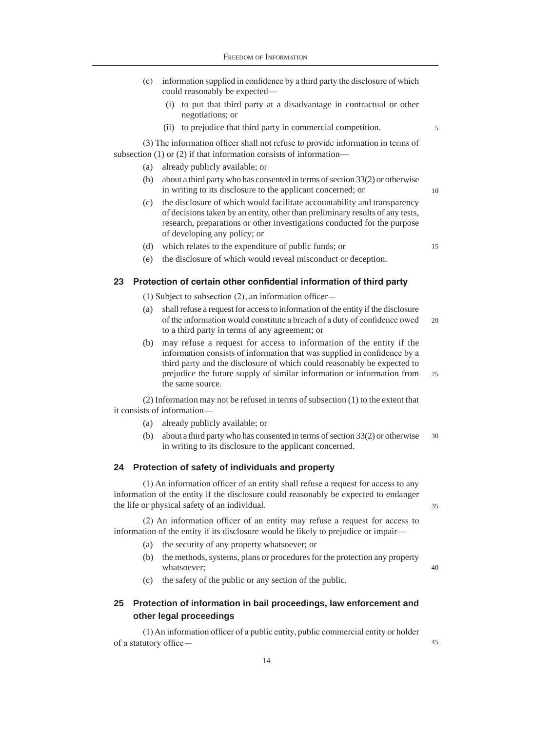- (c) information supplied in confidence by a third party the disclosure of which could reasonably be expected—
	- (i) to put that third party at a disadvantage in contractual or other negotiations; or
	- (ii) to prejudice that third party in commercial competition.

(3) The information officer shall not refuse to provide information in terms of subsection (1) or (2) if that information consists of information—

- (a) already publicly available; or
- (b) about a third party who has consented in terms of section 33(2) or otherwise in writing to its disclosure to the applicant concerned; or
- (c) the disclosure of which would facilitate accountability and transparency of decisions taken by an entity, other than preliminary results of any tests, research, preparations or other investigations conducted for the purpose of developing any policy; or
- (d) which relates to the expenditure of public funds; or

15

10

5

(e) the disclosure of which would reveal misconduct or deception.

# **23 Protection of certain other confidential information of third party**

- (1) Subject to subsection (2), an information officer—
- $20$ (a) shall refuse a request for access to information of the entity if the disclosure of the information would constitute a breach of a duty of confidence owed to a third party in terms of any agreement; or
- 25 (b) may refuse a request for access to information of the entity if the information consists of information that was supplied in confidence by a third party and the disclosure of which could reasonably be expected to prejudice the future supply of similar information or information from the same source.

(2) Information may not be refused in terms of subsection (1) to the extent that it consists of information—

- (a) already publicly available; or
- 30 (b) about a third party who has consented in terms of section 33(2) or otherwise in writing to its disclosure to the applicant concerned.

#### **24 Protection of safety of individuals and property**

(1) An information officer of an entity shall refuse a request for access to any information of the entity if the disclosure could reasonably be expected to endanger the life or physical safety of an individual.

(2) An information officer of an entity may refuse a request for access to information of the entity if its disclosure would be likely to prejudice or impair—

- (a) the security of any property whatsoever; or
- (b) the methods, systems, plans or procedures for the protection any property whatsoever;
- (c) the safety of the public or any section of the public.

# **25 Protection of information in bail proceedings, law enforcement and other legal proceedings**

(1) An information officer of a public entity, public commercial entity or holder of a statutory office40

45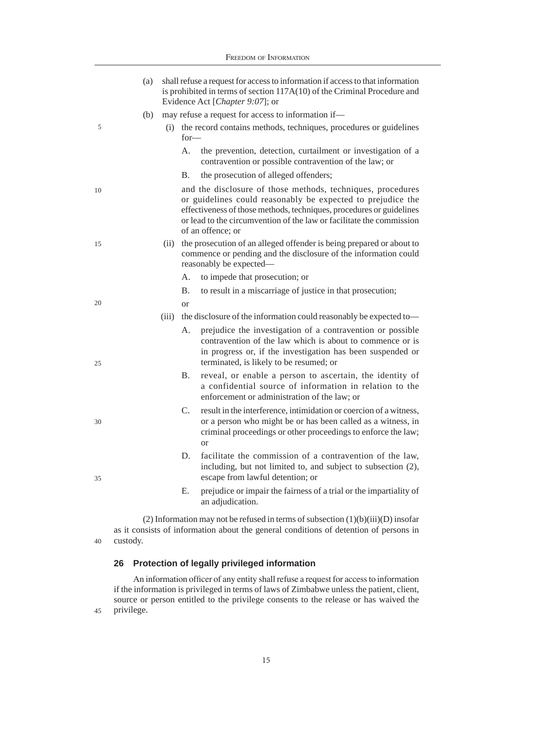|    | <b>FREEDOM OF INFORMATION</b> |       |                                                                                                                                                                                                                                                                                                 |  |  |
|----|-------------------------------|-------|-------------------------------------------------------------------------------------------------------------------------------------------------------------------------------------------------------------------------------------------------------------------------------------------------|--|--|
|    | (a)                           |       | shall refuse a request for access to information if access to that information<br>is prohibited in terms of section 117A(10) of the Criminal Procedure and<br>Evidence Act [Chapter 9:07]; or                                                                                                   |  |  |
|    | (b)                           |       | may refuse a request for access to information if—                                                                                                                                                                                                                                              |  |  |
| 5  |                               | (i)   | the record contains methods, techniques, procedures or guidelines<br>$for-$                                                                                                                                                                                                                     |  |  |
|    |                               |       | the prevention, detection, curtailment or investigation of a<br>А.<br>contravention or possible contravention of the law; or                                                                                                                                                                    |  |  |
|    |                               |       | the prosecution of alleged offenders;<br>B.                                                                                                                                                                                                                                                     |  |  |
| 10 |                               |       | and the disclosure of those methods, techniques, procedures<br>or guidelines could reasonably be expected to prejudice the<br>effectiveness of those methods, techniques, procedures or guidelines<br>or lead to the circumvention of the law or facilitate the commission<br>of an offence; or |  |  |
| 15 |                               | (ii)  | the prosecution of an alleged offender is being prepared or about to<br>commence or pending and the disclosure of the information could<br>reasonably be expected—                                                                                                                              |  |  |
|    |                               |       | A.<br>to impede that prosecution; or                                                                                                                                                                                                                                                            |  |  |
|    |                               |       | <b>B.</b><br>to result in a miscarriage of justice in that prosecution;                                                                                                                                                                                                                         |  |  |
| 20 |                               |       | <sub>or</sub>                                                                                                                                                                                                                                                                                   |  |  |
|    |                               | (iii) | the disclosure of the information could reasonably be expected to-                                                                                                                                                                                                                              |  |  |
| 25 |                               |       | prejudice the investigation of a contravention or possible<br>А.<br>contravention of the law which is about to commence or is<br>in progress or, if the investigation has been suspended or<br>terminated, is likely to be resumed; or                                                          |  |  |
|    |                               |       | <b>B.</b><br>reveal, or enable a person to ascertain, the identity of<br>a confidential source of information in relation to the<br>enforcement or administration of the law; or                                                                                                                |  |  |
| 30 |                               |       | $\mathcal{C}$ .<br>result in the interference, intimidation or coercion of a witness,<br>or a person who might be or has been called as a witness, in<br>criminal proceedings or other proceedings to enforce the law;<br><sub>or</sub>                                                         |  |  |
| 35 |                               |       | facilitate the commission of a contravention of the law,<br>D.<br>including, but not limited to, and subject to subsection (2),<br>escape from lawful detention; or                                                                                                                             |  |  |
|    |                               |       | prejudice or impair the fairness of a trial or the impartiality of<br>Е.<br>an adjudication.                                                                                                                                                                                                    |  |  |

40 (2) Information may not be refused in terms of subsection (1)(b)(iii)(D) insofar as it consists of information about the general conditions of detention of persons in custody.

# **26 Protection of legally privileged information**

45 An information officer of any entity shall refuse a request for access to information if the information is privileged in terms of laws of Zimbabwe unless the patient, client, source or person entitled to the privilege consents to the release or has waived the privilege.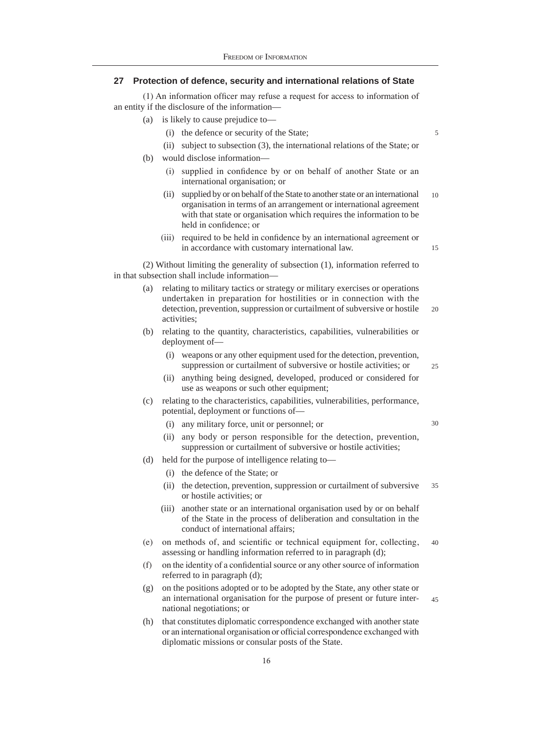# **27 Protection of defence, security and international relations of State**

(1) An information officer may refuse a request for access to information of an entity if the disclosure of the information—

- (a) is likely to cause prejudice to—
	- (i) the defence or security of the State;
	- (ii) subject to subsection (3), the international relations of the State; or

5

15

 $25$ 

30

- (b) would disclose information—
	- (i) supplied in confidence by or on behalf of another State or an international organisation; or
	- (ii) supplied by or on behalf of the State to another state or an international organisation in terms of an arrangement or international agreement with that state or organisation which requires the information to be held in confidence; or 10
	- (iii) required to be held in confidence by an international agreement or in accordance with customary international law.

(2) Without limiting the generality of subsection (1), information referred to in that subsection shall include information—

- (a) relating to military tactics or strategy or military exercises or operations undertaken in preparation for hostilities or in connection with the detection, prevention, suppression or curtailment of subversive or hostile activities; 20
- (b) relating to the quantity, characteristics, capabilities, vulnerabilities or deployment of—
	- (i) weapons or any other equipment used for the detection, prevention, suppression or curtailment of subversive or hostile activities; or
	- (ii) anything being designed, developed, produced or considered for use as weapons or such other equipment;
- (c) relating to the characteristics, capabilities, vulnerabilities, performance, potential, deployment or functions of—
	- (i) any military force, unit or personnel; or
	- (ii) any body or person responsible for the detection, prevention, suppression or curtailment of subversive or hostile activities;
- (d) held for the purpose of intelligence relating to—
	- (i) the defence of the State; or
	- (ii) the detection, prevention, suppression or curtailment of subversive or hostile activities; or 35
	- (iii) another state or an international organisation used by or on behalf of the State in the process of deliberation and consultation in the conduct of international affairs;
- (e) on methods of, and scientific or technical equipment for, collecting, assessing or handling information referred to in paragraph (d);  $40$
- (f) on the identity of a confidential source or any other source of information referred to in paragraph (d);
- (g) on the positions adopted or to be adopted by the State, any other state or an international organisation for the purpose of present or future international negotiations; or 45
- (h) that constitutes diplomatic correspondence exchanged with another state or an international organisation or official correspondence exchanged with diplomatic missions or consular posts of the State.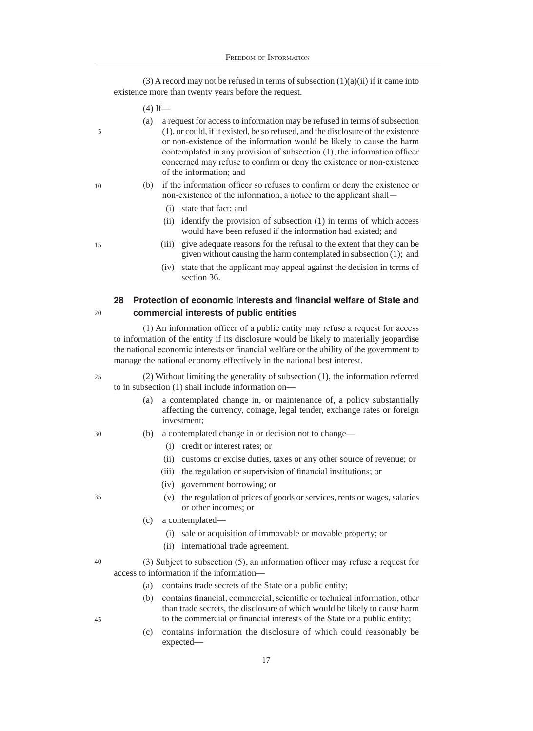(3) A record may not be refused in terms of subsection  $(1)(a)(ii)$  if it came into existence more than twenty years before the request.

- $(4)$  If—
- (a) a request for access to information may be refused in terms of subsection (1), or could, if it existed, be so refused, and the disclosure of the existence or non-existence of the information would be likely to cause the harm contemplated in any provision of subsection (1), the information officer concerned may refuse to confirm or deny the existence or non-existence of the information; and
- (b) if the information officer so refuses to confirm or deny the existence or non-existence of the information, a notice to the applicant shall—
	- (i) state that fact; and
	- (ii) identify the provision of subsection (1) in terms of which access would have been refused if the information had existed; and
	- (iii) give adequate reasons for the refusal to the extent that they can be given without causing the harm contemplated in subsection (1); and
	- (iv) state that the applicant may appeal against the decision in terms of section 36.

# **28 Protection of economic interests and financial welfare of State and commercial interests of public entities**

(1) An information officer of a public entity may refuse a request for access to information of the entity if its disclosure would be likely to materially jeopardise the national economic interests or financial welfare or the ability of the government to manage the national economy effectively in the national best interest.

- (2) Without limiting the generality of subsection (1), the information referred to in subsection (1) shall include information on— 25
	- (a) a contemplated change in, or maintenance of, a policy substantially affecting the currency, coinage, legal tender, exchange rates or foreign investment;
	- (b) a contemplated change in or decision not to change—
		- (i) credit or interest rates; or
		- (ii) customs or excise duties, taxes or any other source of revenue; or
		- (iii) the regulation or supervision of financial institutions; or
		- (iv) government borrowing; or
		- (v) the regulation of prices of goods or services, rents or wages, salaries or other incomes; or
	- (c) a contemplated—
		- (i) sale or acquisition of immovable or movable property; or
		- (ii) international trade agreement.
- (3) Subject to subsection (5), an information officer may refuse a request for access to information if the information— 40
	- (a) contains trade secrets of the State or a public entity;
	- (b) contains financial, commercial, scientific or technical information, other than trade secrets, the disclosure of which would be likely to cause harm to the commercial or financial interests of the State or a public entity;
	- (c) contains information the disclosure of which could reasonably be expected—

10

5

15

20

30

35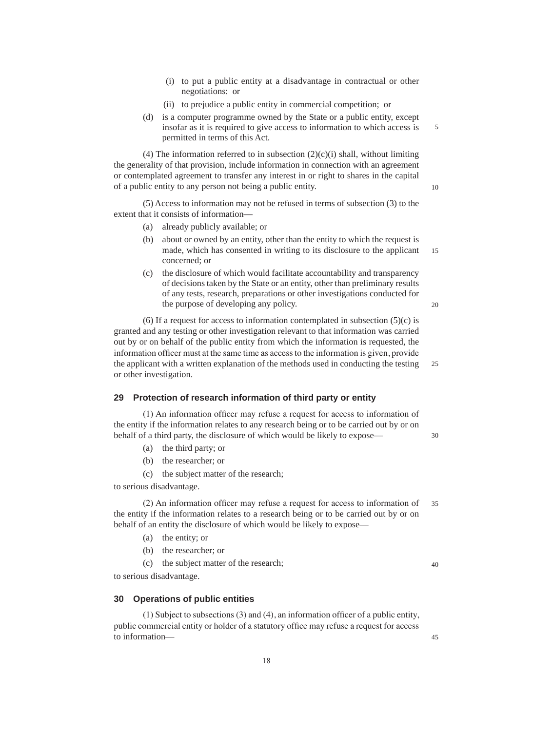- (i) to put a public entity at a disadvantage in contractual or other negotiations: or
- (ii) to prejudice a public entity in commercial competition; or
- (d) is a computer programme owned by the State or a public entity, except insofar as it is required to give access to information to which access is permitted in terms of this Act.

(4) The information referred to in subsection  $(2)(c)(i)$  shall, without limiting the generality of that provision, include information in connection with an agreement or contemplated agreement to transfer any interest in or right to shares in the capital of a public entity to any person not being a public entity.

(5) Access to information may not be refused in terms of subsection (3) to the extent that it consists of information—

- (a) already publicly available; or
- (b) about or owned by an entity, other than the entity to which the request is made, which has consented in writing to its disclosure to the applicant concerned; or 15
- (c) the disclosure of which would facilitate accountability and transparency of decisions taken by the State or an entity, other than preliminary results of any tests, research, preparations or other investigations conducted for the purpose of developing any policy.

(6) If a request for access to information contemplated in subsection  $(5)(c)$  is granted and any testing or other investigation relevant to that information was carried out by or on behalf of the public entity from which the information is requested, the information officer must at the same time as access to the information is given, provide the applicant with a written explanation of the methods used in conducting the testing or other investigation. 25

# **29 Protection of research information of third party or entity**

(1) An information officer may refuse a request for access to information of the entity if the information relates to any research being or to be carried out by or on behalf of a third party, the disclosure of which would be likely to expose—

- (a) the third party; or
- (b) the researcher; or
- (c) the subject matter of the research;

to serious disadvantage.

(2) An information officer may refuse a request for access to information of the entity if the information relates to a research being or to be carried out by or on behalf of an entity the disclosure of which would be likely to expose— 35

- (a) the entity; or
- (b) the researcher; or
- (c) the subject matter of the research;

to serious disadvantage.

## **30 Operations of public entities**

(1) Subject to subsections (3) and (4), an information officer of a public entity, public commercial entity or holder of a statutory office may refuse a request for access to information40

5

10

 $20$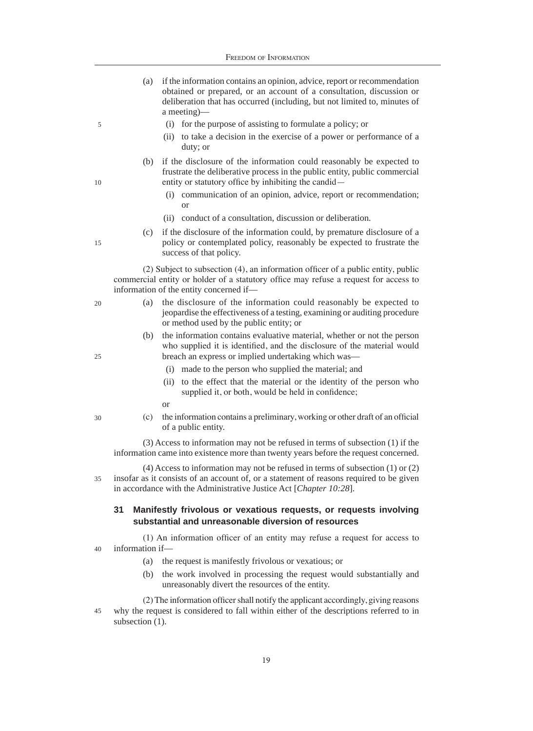- (a) if the information contains an opinion, advice, report or recommendation obtained or prepared, or an account of a consultation, discussion or deliberation that has occurred (including, but not limited to, minutes of a meeting)—
	- (i) for the purpose of assisting to formulate a policy; or
	- (ii) to take a decision in the exercise of a power or performance of a duty; or
- (b) if the disclosure of the information could reasonably be expected to frustrate the deliberative process in the public entity, public commercial entity or statutory office by inhibiting the candid—
	- (i) communication of an opinion, advice, report or recommendation; or
	- (ii) conduct of a consultation, discussion or deliberation.
- (c) if the disclosure of the information could, by premature disclosure of a policy or contemplated policy, reasonably be expected to frustrate the success of that policy.

(2) Subject to subsection (4), an information officer of a public entity, public commercial entity or holder of a statutory office may refuse a request for access to information of the entity concerned if—

- (a) the disclosure of the information could reasonably be expected to jeopardise the effectiveness of a testing, examining or auditing procedure or method used by the public entity; or
	- (b) the information contains evaluative material, whether or not the person who supplied it is identified, and the disclosure of the material would breach an express or implied undertaking which was—
		- (i) made to the person who supplied the material; and
		- (ii) to the effect that the material or the identity of the person who supplied it, or both, would be held in confidence;
		- or
	- (c) the information contains a preliminary, working or other draft of an official of a public entity.

(3) Access to information may not be refused in terms of subsection (1) if the information came into existence more than twenty years before the request concerned.

(4) Access to information may not be refused in terms of subsection (1) or (2) insofar as it consists of an account of, or a statement of reasons required to be given in accordance with the Administrative Justice Act [*Chapter 10:28*]. 35

# **31 Manifestly frivolous or vexatious requests, or requests involving substantial and unreasonable diversion of resources**

(1) An information officer of an entity may refuse a request for access to information if— 40

- (a) the request is manifestly frivolous or vexatious; or
- (b) the work involved in processing the request would substantially and unreasonably divert the resources of the entity.

(2) The information officer shall notify the applicant accordingly, giving reasons why the request is considered to fall within either of the descriptions referred to in subsection  $(1)$ . 45

10

5

15

 $20$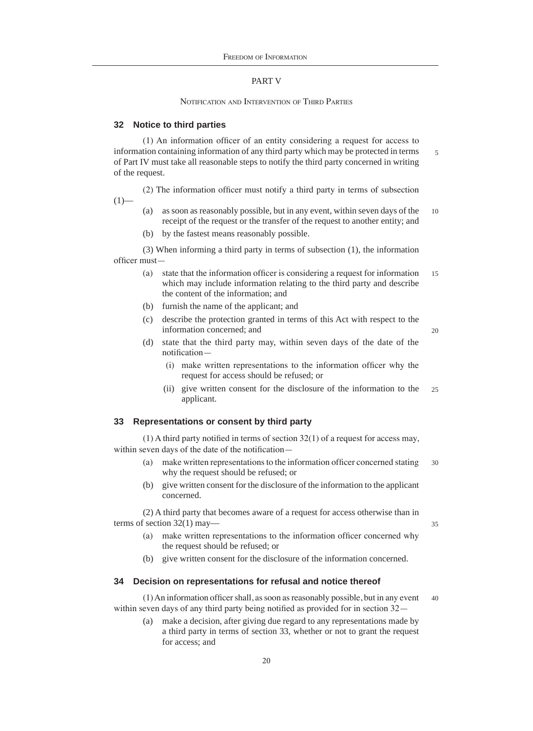# PART V

NOTIFICATION AND INTERVENTION OF THIRD PARTIES

#### **32 Notice to third parties**

(1) An information officer of an entity considering a request for access to information containing information of any third party which may be protected in terms of Part IV must take all reasonable steps to notify the third party concerned in writing of the request.

(2) The information officer must notify a third party in terms of subsection  $(1)$ —

- (a) as soon as reasonably possible, but in any event, within seven days of the receipt of the request or the transfer of the request to another entity; and 10
- (b) by the fastest means reasonably possible.

(3) When informing a third party in terms of subsection (1), the information officer must—

- (a) state that the information officer is considering a request for information which may include information relating to the third party and describe the content of the information; and 15
- (b) furnish the name of the applicant; and
- (c) describe the protection granted in terms of this Act with respect to the information concerned; and
- (d) state that the third party may, within seven days of the date of the notification—
	- (i) make written representations to the information officer why the request for access should be refused; or
	- (ii) give written consent for the disclosure of the information to the applicant.  $25$

# **33 Representations or consent by third party**

(1) A third party notified in terms of section 32(1) of a request for access may, within seven days of the date of the notification—

- (a) make written representations to the information officer concerned stating why the request should be refused; or 30
- (b) give written consent for the disclosure of the information to the applicant concerned.

(2) A third party that becomes aware of a request for access otherwise than in terms of section 32(1) may—

35

5

20

- (a) make written representations to the information officer concerned why the request should be refused; or
- (b) give written consent for the disclosure of the information concerned.

# **34 Decision on representations for refusal and notice thereof**

(1) An information officer shall, as soon as reasonably possible, but in any event within seven days of any third party being notified as provided for in section 32— 40

(a) make a decision, after giving due regard to any representations made by a third party in terms of section 33, whether or not to grant the request for access; and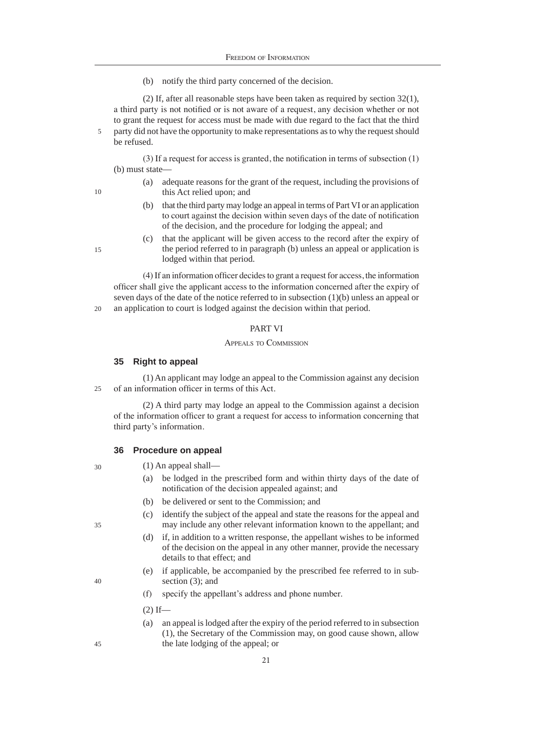(b) notify the third party concerned of the decision.

(2) If, after all reasonable steps have been taken as required by section 32(1), a third party is not notified or is not aware of a request, any decision whether or not to grant the request for access must be made with due regard to the fact that the third party did not have the opportunity to make representations as to why the request should be refused.

(3) If a request for access is granted, the notification in terms of subsection (1) (b) must state—

- (a) adequate reasons for the grant of the request, including the provisions of this Act relied upon; and
- (b) that the third party may lodge an appeal in terms of Part VI or an application to court against the decision within seven days of the date of notification of the decision, and the procedure for lodging the appeal; and
- (c) that the applicant will be given access to the record after the expiry of the period referred to in paragraph (b) unless an appeal or application is lodged within that period.

(4) If an information officer decides to grant a request for access, the information officer shall give the applicant access to the information concerned after the expiry of seven days of the date of the notice referred to in subsection (1)(b) unless an appeal or an application to court is lodged against the decision within that period.

#### PART VI

#### Appeals to Commission

#### **35 Right to appeal**

(1) An applicant may lodge an appeal to the Commission against any decision of an information officer in terms of this Act.  $25$ 

(2) A third party may lodge an appeal to the Commission against a decision of the information officer to grant a request for access to information concerning that third party's information.

#### **36 Procedure on appeal**

- (1) An appeal shall—
	- (a) be lodged in the prescribed form and within thirty days of the date of notification of the decision appealed against; and
	- (b) be delivered or sent to the Commission; and
	- (c) identify the subject of the appeal and state the reasons for the appeal and may include any other relevant information known to the appellant; and
	- (d) if, in addition to a written response, the appellant wishes to be informed of the decision on the appeal in any other manner, provide the necessary details to that effect; and
	- (e) if applicable, be accompanied by the prescribed fee referred to in subsection (3); and
	- (f) specify the appellant's address and phone number.
	- $(2)$  If—
	- (a) an appeal is lodged after the expiry of the period referred to in subsection (1), the Secretary of the Commission may, on good cause shown, allow the late lodging of the appeal; or

35

40

45

30

15

20

10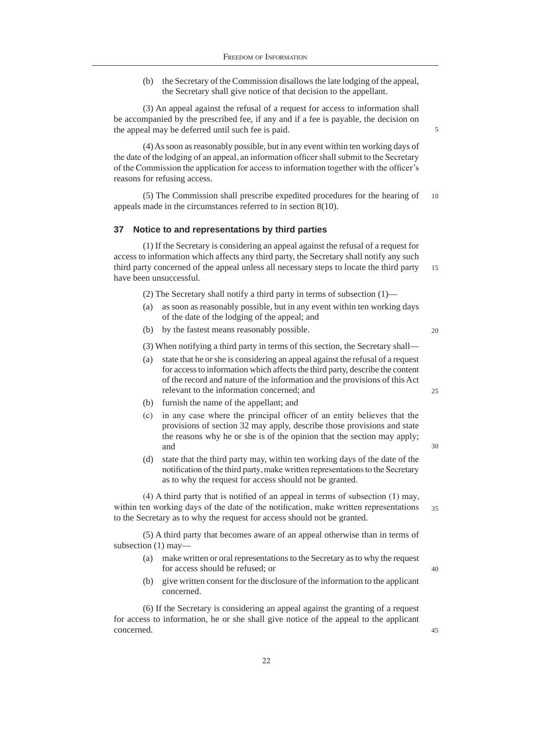(b) the Secretary of the Commission disallows the late lodging of the appeal, the Secretary shall give notice of that decision to the appellant.

(3) An appeal against the refusal of a request for access to information shall be accompanied by the prescribed fee, if any and if a fee is payable, the decision on the appeal may be deferred until such fee is paid.

(4) As soon as reasonably possible, but in any event within ten working days of the date of the lodging of an appeal, an information officer shall submit to the Secretary of the Commission the application for access to information together with the officer's reasons for refusing access.

(5) The Commission shall prescribe expedited procedures for the hearing of appeals made in the circumstances referred to in section 8(10). 10

#### **37 Notice to and representations by third parties**

(1) If the Secretary is considering an appeal against the refusal of a request for access to information which affects any third party, the Secretary shall notify any such third party concerned of the appeal unless all necessary steps to locate the third party have been unsuccessful. 15

- (2) The Secretary shall notify a third party in terms of subsection (1)—
- as soon as reasonably possible, but in any event within ten working days of the date of the lodging of the appeal; and
- (b) by the fastest means reasonably possible.

 $20$ 

25

30

40

45

5

(3) When notifying a third party in terms of this section, the Secretary shall—

- (a) state that he or she is considering an appeal against the refusal of a request for access to information which affects the third party, describe the content of the record and nature of the information and the provisions of this Act relevant to the information concerned; and
- (b) furnish the name of the appellant; and
- (c) in any case where the principal officer of an entity believes that the provisions of section 32 may apply, describe those provisions and state the reasons why he or she is of the opinion that the section may apply; and
- (d) state that the third party may, within ten working days of the date of the notification of the third party, make written representations to the Secretary as to why the request for access should not be granted.

(4) A third party that is notified of an appeal in terms of subsection (1) may, within ten working days of the date of the notification, make written representations to the Secretary as to why the request for access should not be granted. 35

(5) A third party that becomes aware of an appeal otherwise than in terms of subsection (1) may—

- (a) make written or oral representations to the Secretary as to why the request for access should be refused; or
- (b) give written consent for the disclosure of the information to the applicant concerned.

(6) If the Secretary is considering an appeal against the granting of a request for access to information, he or she shall give notice of the appeal to the applicant concerned.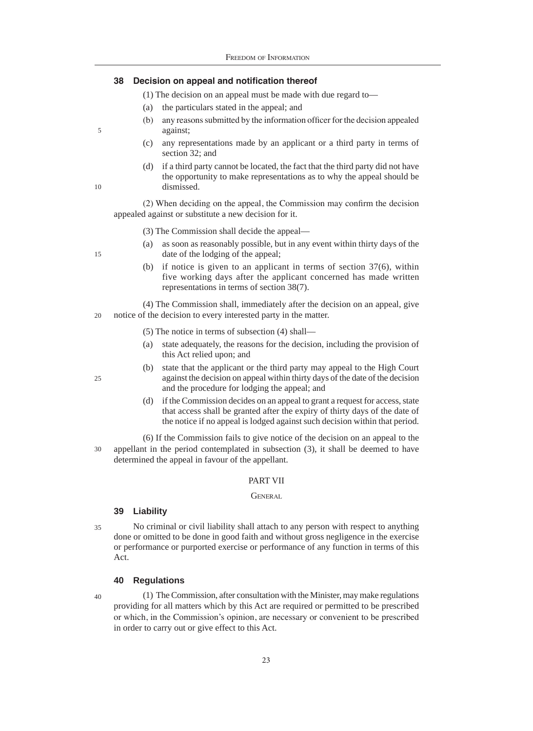# **38 Decision on appeal and notification thereof**

- (1) The decision on an appeal must be made with due regard to—
- (a) the particulars stated in the appeal; and
- (b) any reasons submitted by the information officer for the decision appealed against;
- (c) any representations made by an applicant or a third party in terms of section 32; and
- (d) if a third party cannot be located, the fact that the third party did not have the opportunity to make representations as to why the appeal should be dismissed.

(2) When deciding on the appeal, the Commission may confirm the decision appealed against or substitute a new decision for it.

- (3) The Commission shall decide the appeal—
- (a) as soon as reasonably possible, but in any event within thirty days of the date of the lodging of the appeal;
- (b) if notice is given to an applicant in terms of section 37(6), within five working days after the applicant concerned has made written representations in terms of section 38(7).

(4) The Commission shall, immediately after the decision on an appeal, give notice of the decision to every interested party in the matter. 20

- (5) The notice in terms of subsection (4) shall—
- (a) state adequately, the reasons for the decision, including the provision of this Act relied upon; and
- (b) state that the applicant or the third party may appeal to the High Court against the decision on appeal within thirty days of the date of the decision and the procedure for lodging the appeal; and
- (d) if the Commission decides on an appeal to grant a request for access, state that access shall be granted after the expiry of thirty days of the date of the notice if no appeal is lodged against such decision within that period.

(6) If the Commission fails to give notice of the decision on an appeal to the appellant in the period contemplated in subsection (3), it shall be deemed to have determined the appeal in favour of the appellant. 30

# PART VII

#### GENERAL

#### **39 Liability**

No criminal or civil liability shall attach to any person with respect to anything done or omitted to be done in good faith and without gross negligence in the exercise or performance or purported exercise or performance of any function in terms of this Act. 35

# **40 Regulations**

40

(1) The Commission, after consultation with the Minister, may make regulations providing for all matters which by this Act are required or permitted to be prescribed or which, in the Commission's opinion, are necessary or convenient to be prescribed in order to carry out or give effect to this Act.

5

10

15